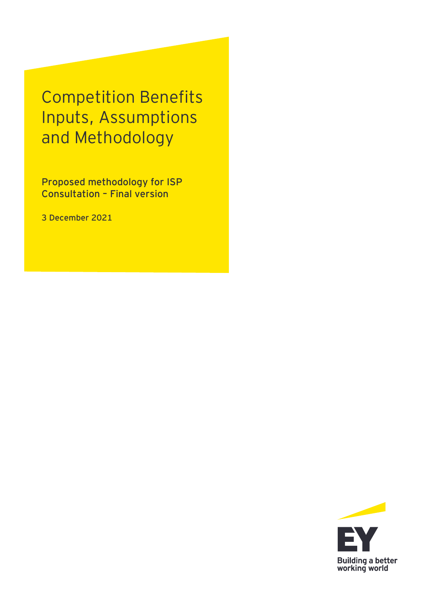Competition Benefits Inputs, Assumptions and Methodology

Proposed methodology for ISP Consultation – Final version

**3 December 2021**

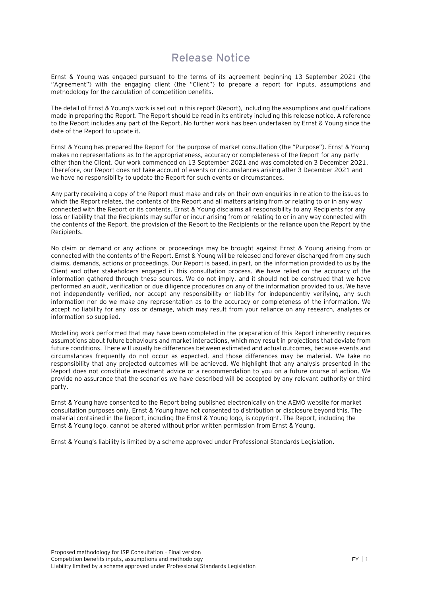## **Release Notice**

Ernst & Young was engaged pursuant to the terms of its agreement beginning 13 September 2021 (the "Agreement") with the engaging client (the "Client") to prepare a report for inputs, assumptions and methodology for the calculation of competition benefits.

The detail of Ernst & Young's work is set out in this report (Report), including the assumptions and qualifications made in preparing the Report. The Report should be read in its entirety including this release notice. A reference to the Report includes any part of the Report. No further work has been undertaken by Ernst & Young since the date of the Report to update it.

Ernst & Young has prepared the Report for the purpose of market consultation (the "Purpose"). Ernst & Young makes no representations as to the appropriateness, accuracy or completeness of the Report for any party other than the Client. Our work commenced on 13 September 2021 and was completed on 3 December 2021. Therefore, our Report does not take account of events or circumstances arising after 3 December 2021 and we have no responsibility to update the Report for such events or circumstances.

Any party receiving a copy of the Report must make and rely on their own enquiries in relation to the issues to which the Report relates, the contents of the Report and all matters arising from or relating to or in any way connected with the Report or its contents. Ernst & Young disclaims all responsibility to any Recipients for any loss or liability that the Recipients may suffer or incur arising from or relating to or in any way connected with the contents of the Report, the provision of the Report to the Recipients or the reliance upon the Report by the Recipients.

No claim or demand or any actions or proceedings may be brought against Ernst & Young arising from or connected with the contents of the Report. Ernst & Young will be released and forever discharged from any such claims, demands, actions or proceedings. Our Report is based, in part, on the information provided to us by the Client and other stakeholders engaged in this consultation process. We have relied on the accuracy of the information gathered through these sources. We do not imply, and it should not be construed that we have performed an audit, verification or due diligence procedures on any of the information provided to us. We have not independently verified, nor accept any responsibility or liability for independently verifying, any such information nor do we make any representation as to the accuracy or completeness of the information. We accept no liability for any loss or damage, which may result from your reliance on any research, analyses or information so supplied.

Modelling work performed that may have been completed in the preparation of this Report inherently requires assumptions about future behaviours and market interactions, which may result in projections that deviate from future conditions. There will usually be differences between estimated and actual outcomes, because events and circumstances frequently do not occur as expected, and those differences may be material. We take no responsibility that any projected outcomes will be achieved. We highlight that any analysis presented in the Report does not constitute investment advice or a recommendation to you on a future course of action. We provide no assurance that the scenarios we have described will be accepted by any relevant authority or third party.

Ernst & Young have consented to the Report being published electronically on the AEMO website for market consultation purposes only. Ernst & Young have not consented to distribution or disclosure beyond this. The material contained in the Report, including the Ernst & Young logo, is copyright. The Report, including the Ernst & Young logo, cannot be altered without prior written permission from Ernst & Young.

Ernst & Young's liability is limited by a scheme approved under Professional Standards Legislation.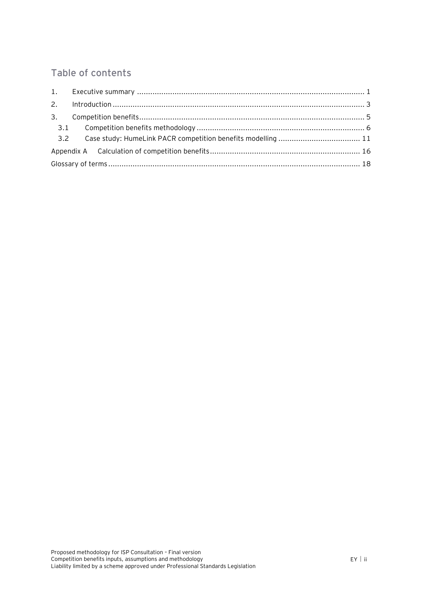## Table of contents

| 3.  |  |  |  |
|-----|--|--|--|
| 3.1 |  |  |  |
| 3.2 |  |  |  |
|     |  |  |  |
|     |  |  |  |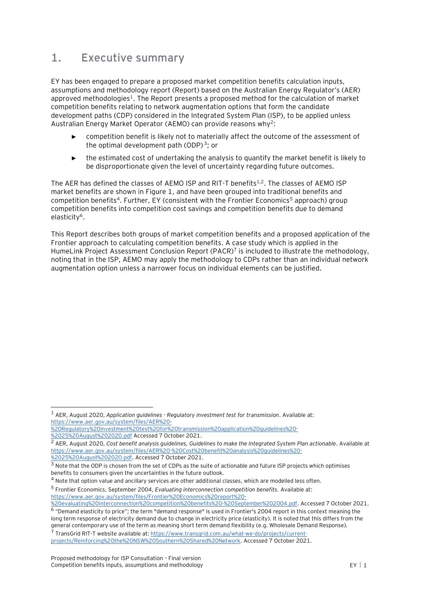## <span id="page-3-0"></span>**1. Executive summary**

EY has been engaged to prepare a proposed market competition benefits calculation inputs, assumptions and methodology report (Report) based on the Australian Energy Regulator's (AER) approved methodologies<sup>1</sup>. The Report presents a proposed method for the calculation of market competition benefits relating to network augmentation options that form the candidate development paths (CDP) considered in the Integrated System Plan (ISP), to be applied unless Australian Energy Market Operator (AEMO) can provide reasons why<sup>2</sup>:

- <span id="page-3-2"></span><span id="page-3-1"></span>competition benefit is likely not to materially affect the outcome of the assessment of the optimal development path (ODP)<sup>3</sup>; or
- <span id="page-3-3"></span>► the estimated cost of undertaking the analysis to quantify the market benefit is likely to be disproportionate given the level of uncertainty regarding future outcomes.

The AER has defined the classes of AEMO ISP and RIT-T benefits $^{1,2}$  $^{1,2}$  $^{1,2}$  $^{1,2}$ . The classes of AEMO ISP market benefits are shown i[n Figure 1,](#page-4-0) and have been grouped into traditional benefits and competition benefits<sup>4</sup>. Further, EY (consistent with the Frontier Economics<sup>5</sup> approach) group competition benefits into competition cost savings and competition benefits due to demand elasticity<sup>6</sup>.

This Report describes both groups of market competition benefits and a proposed application of the Frontier approach to calculating competition benefits. A case study which is applied in the HumeLink Project Assessment Conclusion Report (PACR)<sup>7</sup> is included to illustrate the methodology, noting that in the ISP, AEMO may apply the methodology to CDPs rather than an individual network augmentation option unless a narrower focus on individual elements can be justified.

[%2025%20August%202020.pdf,](https://www.aer.gov.au/system/files/AER%20-%20Cost%20benefit%20analysis%20guidelines%20-%2025%20August%202020.pdf) Accessed 7 October 2021.

<sup>4</sup> Note that option value and ancillary services are other additional classes, which are modelled less often.

5 Frontier Economics, September 2004, *Evaluating interconnection competition benefits.* Available at: [https://www.aer.gov.au/system/files/Frontier%20Economics%20report%20-](https://www.aer.gov.au/system/files/Frontier%20Economics%20report%20-%20evaluating%20interconnection%20competition%20benefits%20-%20September%202004.pdf)

general contemporary use of the term as meaning short term demand flexibility (e.g. Wholesale Demand Response). <sup>7</sup> TransGrid RIT-T website available at: [https://www.transgrid.com.au/what-we-do/projects/current-](https://www.transgrid.com.au/what-we-do/projects/current-projects/Reinforcing%20the%20NSW%20Southern%20Shared%20Network)

<sup>1</sup> AER, August 2020, *Application guidelines - Regulatory investment test for transmission*. Available at: [https://www.aer.gov.au/system/files/AER%20-](https://www.aer.gov.au/system/files/AER%20-%20Regulatory%20investment%20test%20for%20transmission%20application%20guidelines%20-%2025%20August%202020.pdf)

[<sup>%20</sup>Regulatory%20investment%20test%20for%20transmission%20application%20guidelines%20-](https://www.aer.gov.au/system/files/AER%20-%20Regulatory%20investment%20test%20for%20transmission%20application%20guidelines%20-%2025%20August%202020.pdf) [%2025%20August%202020.pdf](https://www.aer.gov.au/system/files/AER%20-%20Regulatory%20investment%20test%20for%20transmission%20application%20guidelines%20-%2025%20August%202020.pdf) Accessed 7 October 2021.

<sup>2</sup> AER, August 2020, *Cost benefit analysis guidelines, Guidelines to make the Integrated System Plan actionable*. Available at [https://www.aer.gov.au/system/files/AER%20-%20Cost%20benefit%20analysis%20guidelines%20-](https://www.aer.gov.au/system/files/AER%20-%20Cost%20benefit%20analysis%20guidelines%20-%2025%20August%202020.pdf)

<sup>&</sup>lt;sup>3</sup> Note that the ODP is chosen from the set of CDPs as the suite of actionable and future ISP projects which optimises benefits to consumers given the uncertainties in the future outlook.

[<sup>%20</sup>evaluating%20interconnection%20competition%20benefits%20-%20September%202004.pdf.](https://www.aer.gov.au/system/files/Frontier%20Economics%20report%20-%20evaluating%20interconnection%20competition%20benefits%20-%20September%202004.pdf) Accessed 7 October 2021. 6 "Demand elasticity to price"; the term "demand response" is used in Frontier's 2004 report in this context meaning the long term response of electricity demand due to change in electricity price (elasticity). It is noted that this differs from the

[projects/Reinforcing%20the%20NSW%20Southern%20Shared%20Network.](https://www.transgrid.com.au/what-we-do/projects/current-projects/Reinforcing%20the%20NSW%20Southern%20Shared%20Network) Accessed 7 October 2021.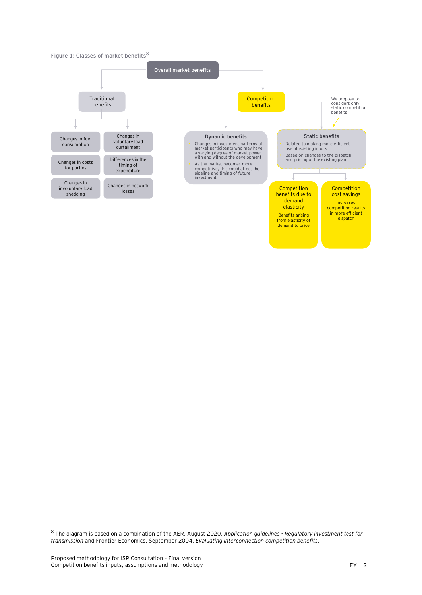#### <span id="page-4-0"></span>**Figure 1: Classes of market benefits<sup>8</sup>**



<sup>8</sup> The diagram is based on a combination of the AER, August 2020, *Application guidelines - Regulatory investment test for transmission* and Frontier Economics, September 2004, *Evaluating interconnection competition benefits.*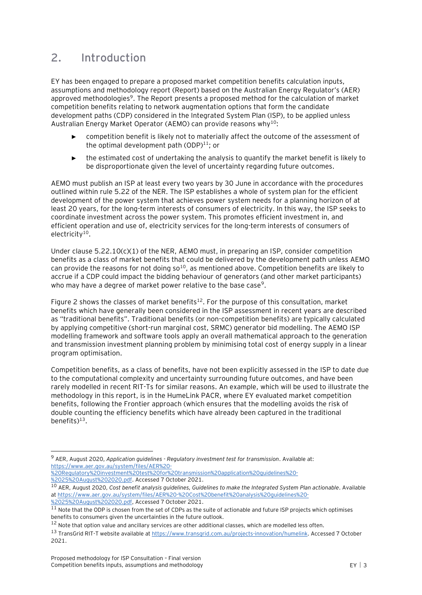# <span id="page-5-0"></span>**2. Introduction**

EY has been engaged to prepare a proposed market competition benefits calculation inputs, assumptions and methodology report (Report) based on the Australian Energy Regulator's (AER) approved methodologies<sup>9</sup>. The Report presents a proposed method for the calculation of market competition benefits relating to network augmentation options that form the candidate development paths (CDP) considered in the Integrated System Plan (ISP), to be applied unless Australian Energy Market Operator (AEMO) can provide reasons why<sup>10</sup>:

- <span id="page-5-2"></span><span id="page-5-1"></span>competition benefit is likely not to materially affect the outcome of the assessment of the optimal development path  $(ODP)^{11}$ ; or
- ► the estimated cost of undertaking the analysis to quantify the market benefit is likely to be disproportionate given the level of uncertainty regarding future outcomes.

AEMO must publish an ISP at least every two years by 30 June in accordance with the procedures outlined within rule 5.22 of the NER. The ISP establishes a whole of system plan for the efficient development of the power system that achieves power system needs for a planning horizon of at least 20 years, for the long-term interests of consumers of electricity. In this way, the ISP seeks to coordinate investment across the power system. This promotes efficient investment in, and efficient operation and use of, electricity services for the long-term interests of consumers of  $electricity<sup>10</sup>$  $electricity<sup>10</sup>$  $electricity<sup>10</sup>$ .

Under clause 5.22.10(c)(1) of the NER, AEMO must, in preparing an ISP, consider competition benefits as a class of market benefits that could be delivered by the development path unless AEMO can provide the reasons for not doing  $so<sup>10</sup>$  $so<sup>10</sup>$  $so<sup>10</sup>$ , as mentioned above. Competition benefits are likely to accrue if a CDP could impact the bidding behaviour of generators (and other market participants) who may have a degree of market power relative to the base case<sup>[9](#page-5-2)</sup>.

[Figure 2](#page-6-0) shows the classes of market benefits<sup>12</sup>. For the purpose of this consultation, market benefits which have generally been considered in the ISP assessment in recent years are described as "traditional benefits". Traditional benefits (or non-competition benefits) are typically calculated by applying competitive (short-run marginal cost, SRMC) generator bid modelling. The AEMO ISP modelling framework and software tools apply an overall mathematical approach to the generation and transmission investment planning problem by minimising total cost of energy supply in a linear program optimisation.

Competition benefits, as a class of benefits, have not been explicitly assessed in the ISP to date due to the computational complexity and uncertainty surrounding future outcomes, and have been rarely modelled in recent RIT-Ts for similar reasons. An example, which will be used to illustrate the methodology in this report, is in the HumeLink PACR, where EY evaluated market competition benefits, following the Frontier approach (which ensures that the modelling avoids the risk of double counting the efficiency benefits which have already been captured in the traditional benefits) $13$ .

<sup>9</sup> AER, August 2020, *Application guidelines - Regulatory investment test for transmission*. Available at: [https://www.aer.gov.au/system/files/AER%20-](https://www.aer.gov.au/system/files/AER%20-%20Regulatory%20investment%20test%20for%20transmission%20application%20guidelines%20-%2025%20August%202020.pdf)

[<sup>%20</sup>Regulatory%20investment%20test%20for%20transmission%20application%20guidelines%20-](https://www.aer.gov.au/system/files/AER%20-%20Regulatory%20investment%20test%20for%20transmission%20application%20guidelines%20-%2025%20August%202020.pdf) [%2025%20August%202020.pdf.](https://www.aer.gov.au/system/files/AER%20-%20Regulatory%20investment%20test%20for%20transmission%20application%20guidelines%20-%2025%20August%202020.pdf) Accessed 7 October 2021.

<sup>10</sup> AER, August 2020, *Cost benefit analysis guidelines, Guidelines to make the Integrated System Plan actionable*. Available a[t https://www.aer.gov.au/system/files/AER%20-%20Cost%20benefit%20analysis%20guidelines%20-](https://www.aer.gov.au/system/files/AER%20-%20Cost%20benefit%20analysis%20guidelines%20-%2025%20August%202020.pdf) [%2025%20August%202020.pdf,](https://www.aer.gov.au/system/files/AER%20-%20Cost%20benefit%20analysis%20guidelines%20-%2025%20August%202020.pdf) Accessed 7 October 2021.

 $11$  Note that the ODP is chosen from the set of CDPs as the suite of actionable and future ISP projects which optimises benefits to consumers given the uncertainties in the future outlook.

<sup>&</sup>lt;sup>12</sup> Note that option value and ancillary services are other additional classes, which are modelled less often.

<sup>13</sup> TransGrid RIT-T website available at [https://www.transgrid.com.au/projects-innovation/humelink.](https://www.transgrid.com.au/projects-innovation/humelink) Accessed 7 October 2021.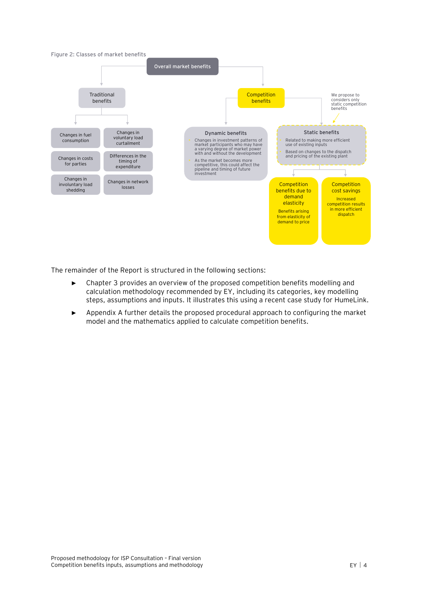<span id="page-6-0"></span>

The remainder of the Report is structured in the following sections:

- ► Chapter 3 provides an overview of the proposed competition benefits modelling and calculation methodology recommended by EY, including its categories, key modelling steps, assumptions and inputs. It illustrates this using a recent case study for HumeLink.
- ► Appendix A further details the proposed procedural approach to configuring the market model and the mathematics applied to calculate competition benefits.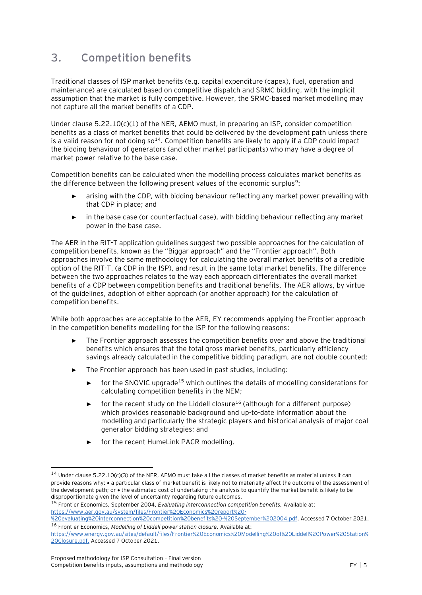# <span id="page-7-0"></span>**3. Competition benefits**

Traditional classes of ISP market benefits (e.g. capital expenditure (capex), fuel, operation and maintenance) are calculated based on competitive dispatch and SRMC bidding, with the implicit assumption that the market is fully competitive. However, the SRMC-based market modelling may not capture all the market benefits of a CDP.

Under clause 5.22.10(c)(1) of the NER, AEMO must, in preparing an ISP, consider competition benefits as a class of market benefits that could be delivered by the development path unless there is a valid reason for not doing  $\mathfrak{so}^{14}$ . Competition benefits are likely to apply if a CDP could impact the bidding behaviour of generators (and other market participants) who may have a degree of market power relative to the base case.

Competition benefits can be calculated when the modelling process calculates market benefits as the difference between the following present values of the economic surplus<sup>[9](#page-5-2)</sup>:

- arising with the CDP, with bidding behaviour reflecting any market power prevailing with that CDP in place; and
- in the base case (or counterfactual case), with bidding behaviour reflecting any market power in the base case.

The AER in the RIT-T application guidelines suggest two possible approaches for the calculation of competition benefits, known as the "Biggar approach" and the "Frontier approach". Both approaches involve the same methodology for calculating the overall market benefits of a credible option of the RIT-T, (a CDP in the ISP), and result in the same total market benefits. The difference between the two approaches relates to the way each approach differentiates the overall market benefits of a CDP between competition benefits and traditional benefits. The AER allows, by virtue of the guidelines, adoption of either approach (or another approach) for the calculation of competition benefits.

While both approaches are acceptable to the AER, EY recommends applying the Frontier approach in the competition benefits modelling for the ISP for the following reasons:

- The Frontier approach assesses the competition benefits over and above the traditional benefits which ensures that the total gross market benefits, particularly efficiency savings already calculated in the competitive bidding paradigm, are not double counted;
- <span id="page-7-2"></span><span id="page-7-1"></span>The Frontier approach has been used in past studies, including:
	- ► for the SNOVIC upgrade<sup>15</sup> which outlines the details of modelling considerations for calculating competition benefits in the NEM;
	- ► for the recent study on the Liddell closure<sup>16</sup> (although for a different purpose) which provides reasonable background and up-to-date information about the modelling and particularly the strategic players and historical analysis of major coal generator bidding strategies; and
	- for the recent HumeLink PACR modelling.

<sup>&</sup>lt;sup>14</sup> Under clause 5.22.10(c)(3) of the NER, AEMO must take all the classes of market benefits as material unless it can provide reasons why: • a particular class of market benefit is likely not to materially affect the outcome of the assessment of the development path; or • the estimated cost of undertaking the analysis to quantify the market benefit is likely to be disproportionate given the level of uncertainty regarding future outcomes.

<sup>15</sup> Frontier Economics, September 2004, *Evaluating interconnection competition benefits.* Available at: [https://www.aer.gov.au/system/files/Frontier%20Economics%20report%20-](https://www.aer.gov.au/system/files/Frontier%20Economics%20report%20-%20evaluating%20interconnection%20competition%20benefits%20-%20September%202004.pdf)

[<sup>%20</sup>evaluating%20interconnection%20competition%20benefits%20-%20September%202004.pdf.](https://www.aer.gov.au/system/files/Frontier%20Economics%20report%20-%20evaluating%20interconnection%20competition%20benefits%20-%20September%202004.pdf) Accessed 7 October 2021. <sup>16</sup> Frontier Economics, *Modelling of Liddell power station closure.* Available at:

[https://www.energy.gov.au/sites/default/files/Frontier%20Economics%20Modelling%20of%20Liddell%20Power%20Station%](https://www.energy.gov.au/sites/default/files/Frontier%20Economics%20Modelling%20of%20Liddell%20Power%20Station%20Closure.pdf) [20Closure.pdf.](https://www.energy.gov.au/sites/default/files/Frontier%20Economics%20Modelling%20of%20Liddell%20Power%20Station%20Closure.pdf) Accessed 7 October 2021.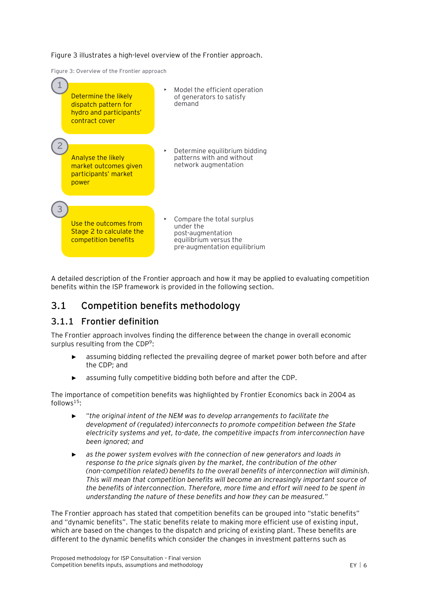[Figure 3](#page-8-1) illustrates a high-level overview of the Frontier approach.

<span id="page-8-1"></span>**Figure 3: Overview of the Frontier approach**



A detailed description of the Frontier approach and how it may be applied to evaluating competition benefits within the ISP framework is provided in the following section.

## <span id="page-8-0"></span>**3.1 Competition benefits methodology**

#### **3.1.1 Frontier definition**

The Frontier approach involves finding the difference between the change in overall economic surplus resulting from the CD[P](#page-5-2)<sup>9</sup>:

- assuming bidding reflected the prevailing degree of market power both before and after the CDP; and
- assuming fully competitive bidding both before and after the CDP.

The importance of competition benefits was highlighted by Frontier Economics back in 2004 as follows<sup>[15](#page-7-1)</sup>:

- ► "*the original intent of the NEM was to develop arrangements to facilitate the development of (regulated) interconnects to promote competition between the State electricity systems and yet, to-date, the competitive impacts from interconnection have been ignored; and*
- as the power system evolves with the connection of new generators and loads in *response to the price signals given by the market, the contribution of the other (non-competition related) benefits to the overall benefits of interconnection will diminish. This will mean that competition benefits will become an increasingly important source of the benefits of interconnection. Therefore, more time and effort will need to be spent in understanding the nature of these benefits and how they can be measured.*"

The Frontier approach has stated that competition benefits can be grouped into "static benefits" and "dynamic benefits". The static benefits relate to making more efficient use of existing input, which are based on the changes to the dispatch and pricing of existing plant. These benefits are different to the dynamic benefits which consider the changes in investment patterns such as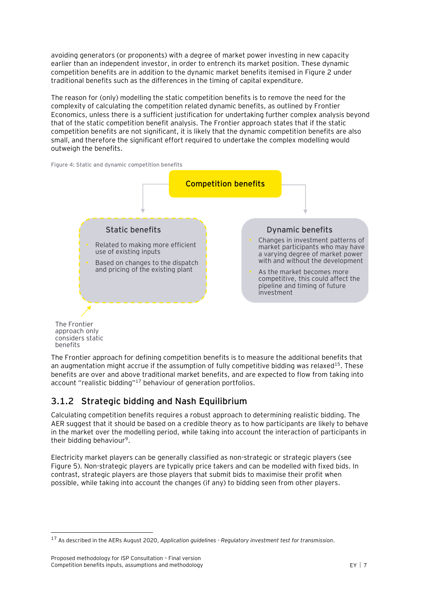avoiding generators (or proponents) with a degree of market power investing in new capacity earlier than an independent investor, in order to entrench its market position. These dynamic competition benefits are in addition to the dynamic market benefits itemised in [Figure 2](#page-6-0) under traditional benefits such as the differences in the timing of capital expenditure.

The reason for (only) modelling the static competition benefits is to remove the need for the complexity of calculating the competition related dynamic benefits, as outlined by Frontier Economics, unless there is a sufficient justification for undertaking further complex analysis beyond that of the static competition benefit analysis. The Frontier approach states that if the static competition benefits are not significant, it is likely that the dynamic competition benefits are also small, and therefore the significant effort required to undertake the complex modelling would outweigh the benefits.

**Figure 4: Static and dynamic competition benefits**



approach only considers static benefits

The Frontier approach for defining competition benefits is to measure the additional benefits that an augmentation might accrue if the assumption of fully competitive bidding was relaxed<sup>[15](#page-7-1)</sup>. These benefits are over and above traditional market benefits, and are expected to flow from taking into account "realistic bidding" <sup>17</sup> behaviour of generation portfolios.

## <span id="page-9-0"></span>**3.1.2 Strategic bidding and Nash Equilibrium**

Calculating competition benefits requires a robust approach to determining realistic bidding. The AER suggest that it should be based on a credible theory as to how participants are likely to behave in the market over the modelling period, while taking into account the interaction of participants in their bidding behaviour<sup>[9](#page-5-2)</sup>.

Electricity market players can be generally classified as non-strategic or strategic players (see [Figure 5\)](#page-10-0). Non-strategic players are typically price takers and can be modelled with fixed bids. In contrast, strategic players are those players that submit bids to maximise their profit when possible, while taking into account the changes (if any) to bidding seen from other players.

<sup>17</sup> As described in the AERs August 2020, *Application guidelines - Regulatory investment test for transmission*.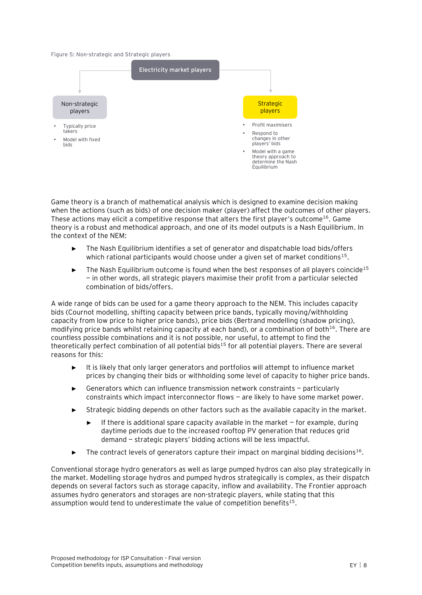<span id="page-10-0"></span>**Figure 5: Non-strategic and Strategic players**



Game theory is a branch of mathematical analysis which is designed to examine decision making when the actions (such as bids) of one decision maker (player) affect the outcomes of other players. These actions may elicit a competitive response that alters the first player's outcome<sup>[16](#page-7-2)</sup>. Game theory is a robust and methodical approach, and one of its model outputs is a Nash Equilibrium. In the context of the NEM:

- The Nash Equilibrium identifies a set of generator and dispatchable load bids/offers which rational participants would choose under a given set of market conditions $^{15}$  $^{15}$  $^{15}$ .
- The Nash Equilibrium outcome is found when the best responses of all players coincide<sup>[15](#page-7-1)</sup> — in other words, all strategic players maximise their profit from a particular selected combination of bids/offers.

A wide range of bids can be used for a game theory approach to the NEM. This includes capacity bids (Cournot modelling, shifting capacity between price bands, typically moving/withholding capacity from low price to higher price bands), price bids (Bertrand modelling (shadow pricing), modifying price bands whilst retaining capacity at each band), or a combination of both<sup>[16](#page-7-2)</sup>. There are countless possible combinations and it is not possible, nor useful, to attempt to find the theoretically perfect combination of all potential bids<sup>[15](#page-7-1)</sup> for all potential players. There are several reasons for this:

- It is likely that only larger generators and portfolios will attempt to influence market prices by changing their bids or withholding some level of capacity to higher price bands.
- Generators which can influence transmission network constraints  $-$  particularly constraints which impact interconnector flows — are likely to have some market power.
- Strategic bidding depends on other factors such as the available capacity in the market.
	- If there is additional spare capacity available in the market  $-$  for example, during daytime periods due to the increased rooftop PV generation that reduces grid demand — strategic players' bidding actions will be less impactful.
- $\blacktriangleright$  The contract levels of generators capture their impact on marginal bidding decisions<sup>[16](#page-7-2)</sup>.

Conventional storage hydro generators as well as large pumped hydros can also play strategically in the market. Modelling storage hydros and pumped hydros strategically is complex, as their dispatch depends on several factors such as storage capacity, inflow and availability. The Frontier approach assumes hydro generators and storages are non-strategic players, while stating that this assumption would tend to underestimate the value of competition benefits $15$ .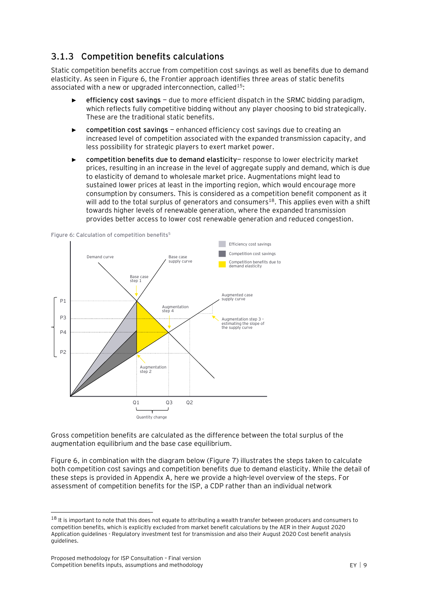## **3.1.3 Competition benefits calculations**

Static competition benefits accrue from competition cost savings as well as benefits due to demand elasticity. As seen in [Figure 6,](#page-11-0) the Frontier approach identifies three areas of static benefits associated with a new or upgraded interconnection, called<sup>[15](#page-7-1)</sup>:

- ► **efficiency cost savings** due to more efficient dispatch in the SRMC bidding paradigm, which reflects fully competitive bidding without any player choosing to bid strategically. These are the traditional static benefits.
- ► **competition cost savings** enhanced efficiency cost savings due to creating an increased level of competition associated with the expanded transmission capacity, and less possibility for strategic players to exert market power.
- ► **competition benefits due to demand elasticity** response to lower electricity market prices, resulting in an increase in the level of aggregate supply and demand, which is due to elasticity of demand to wholesale market price. Augmentations might lead to sustained lower prices at least in the importing region, which would encourage more consumption by consumers. This is considered as a competition benefit component as it will add to the total surplus of generators and consumers<sup>18</sup>. This applies even with a shift towards higher levels of renewable generation, where the expanded transmission provides better access to lower cost renewable generation and reduced congestion.



<span id="page-11-0"></span>**Figure 6: Calculation of competition benefit[s](#page-3-3)<sup>5</sup>**

Gross competition benefits are calculated as the difference between the total surplus of the augmentation equilibrium and the base case equilibrium.

[Figure 6,](#page-11-0) in combination with the diagram below [\(Figure 7\)](#page-12-0) illustrates the steps taken to calculate both competition cost savings and competition benefits due to demand elasticity. While the detail of these steps is provided in Appendix A, here we provide a high-level overview of the steps. For assessment of competition benefits for the ISP, a CDP rather than an individual network

<sup>&</sup>lt;sup>18</sup> It is important to note that this does not equate to attributing a wealth transfer between producers and consumers to competition benefits, which is explicitly excluded from market benefit calculations by the AER in their August 2020 Application guidelines - Regulatory investment test for transmission and also their August 2020 Cost benefit analysis guidelines.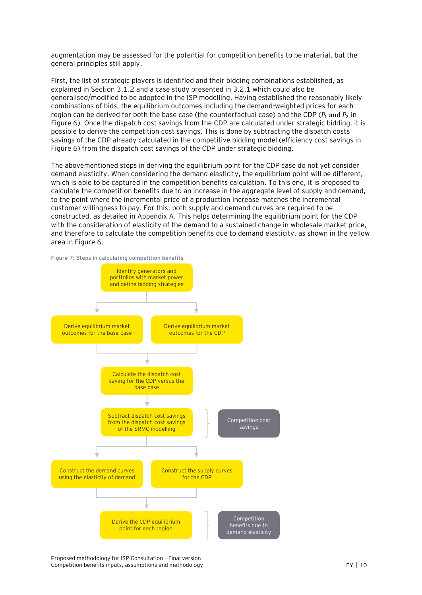augmentation may be assessed for the potential for competition benefits to be material, but the general principles still apply.

First, the list of strategic players is identified and their bidding combinations established, as explained in Section [3.1.2](#page-9-0) and a case study presented in [3.2.1](#page-13-1) which could also be generalised/modified to be adopted in the ISP modelling. Having established the reasonably likely combinations of bids, the equilibrium outcomes including the demand-weighted prices for each region can be derived for both the base case (the counterfactual case) and the CDP ( $P_1$  and  $P_2$  in [Figure 6\)](#page-11-0). Once the dispatch cost savings from the CDP are calculated under strategic bidding, it is possible to derive the competition cost savings. This is done by subtracting the dispatch costs savings of the CDP already calculated in the competitive bidding model (efficiency cost savings in [Figure 6\)](#page-11-0) from the dispatch cost savings of the CDP under strategic bidding.

The abovementioned steps in deriving the equilibrium point for the CDP case do not yet consider demand elasticity. When considering the demand elasticity, the equilibrium point will be different, which is able to be captured in the competition benefits calculation. To this end, it is proposed to calculate the competition benefits due to an increase in the aggregate level of supply and demand, to the point where the incremental price of a production increase matches the incremental customer willingness to pay. For this, both supply and demand curves are required to be constructed, as detailed in Appendix A. This helps determining the equilibrium point for the CDP with the consideration of elasticity of the demand to a sustained change in wholesale market price, and therefore to calculate the competition benefits due to demand elasticity, as shown in the yellow area i[n Figure 6.](#page-11-0)

<span id="page-12-0"></span>**Figure 7: Steps in calculating competition benefits**

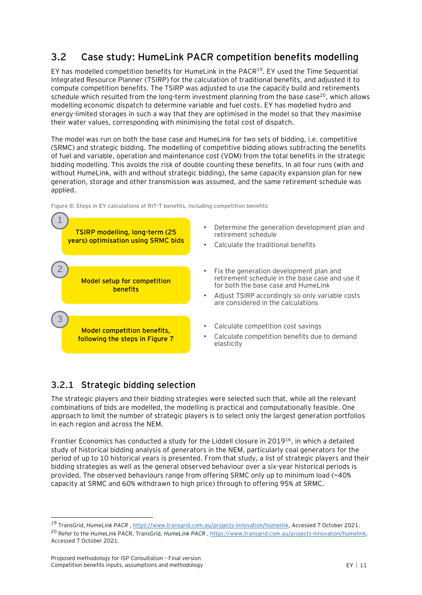## <span id="page-13-0"></span>**3.2 Case study: HumeLink PACR competition benefits modelling**

EY has modelled competition benefits for HumeLink in the PACR<sup>19</sup>. EY used the Time Sequential Integrated Resource Planner (TSIRP) for the calculation of traditional benefits, and adjusted it to compute competition benefits. The TSIRP was adjusted to use the capacity build and retirements schedule which resulted from the long-term investment planning from the base case<sup>20</sup>, which allows modelling economic dispatch to determine variable and fuel costs. EY has modelled hydro and energy-limited storages in such a way that they are optimised in the model so that they maximise their water values, corresponding with minimising the total cost of dispatch.

The model was run on both the base case and HumeLink for two sets of bidding, i.e. competitive (SRMC) and strategic bidding. The modelling of competitive bidding allows subtracting the benefits of fuel and variable, operation and maintenance cost (VOM) from the total benefits in the strategic bidding modelling. This avoids the risk of double counting these benefits. In all four runs (with and without HumeLink, with and without strategic bidding), the same capacity expansion plan for new generation, storage and other transmission was assumed, and the same retirement schedule was applied.





## <span id="page-13-1"></span>**3.2.1 Strategic bidding selection**

The strategic players and their bidding strategies were selected such that, while all the relevant combinations of bids are modelled, the modelling is practical and computationally feasible. One approach to limit the number of strategic players is to select only the largest generation portfolios in each region and across the NEM.

Frontier Economics has conducted a study for the Liddell closure in 2019<sup>[16](#page-7-2)</sup>, in which a detailed study of historical bidding analysis of generators in the NEM, particularly coal generators for the period of up to 10 historical years is presented. From that study, a list of strategic players and their bidding strategies as well as the general observed behaviour over a six-year historical periods is provided. The observed behaviours range from offering SRMC only up to minimum load (~40% capacity at SRMC and 60% withdrawn to high price) through to offering 95% at SRMC.

<sup>19</sup> TransGrid, *HumeLink PACR* , [https://www.transgrid.com.au/projects-innovation/humelink,](https://www.transgrid.com.au/projects-innovation/humelink) Accessed 7 October 2021. <sup>20</sup> Refer to the HumeLink PACR, TransGrid, *HumeLink PACR*, [https://www.transgrid.com.au/projects-innovation/humelink,](https://www.transgrid.com.au/projects-innovation/humelink) Accessed 7 October 2021.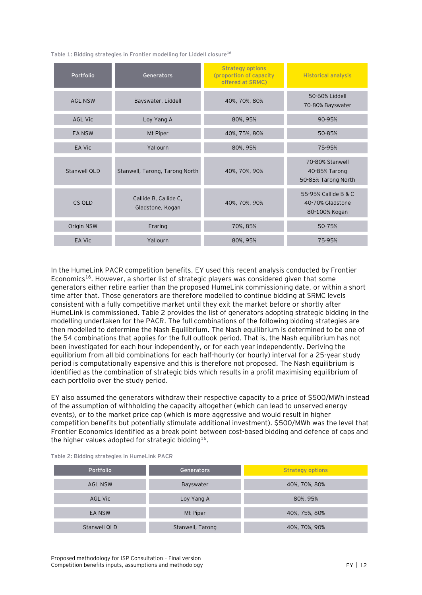**Table 1: Bidding strategies in Frontier modelling for Liddell closure[16](#page-7-2)**

| Portfolio           | Generators                                | <b>Strategy options</b><br>(proportion of capacity)<br>offered at SRMC) | <b>Historical analysis</b>                                |
|---------------------|-------------------------------------------|-------------------------------------------------------------------------|-----------------------------------------------------------|
| <b>AGL NSW</b>      | Bayswater, Liddell                        | 40%, 70%, 80%                                                           | 50-60% Liddell<br>70-80% Bayswater                        |
| AGL Vic             | Loy Yang A                                | 80%, 95%                                                                | 90-95%                                                    |
| <b>EA NSW</b>       | Mt Piper                                  | 40%, 75%, 80%                                                           | 50-85%                                                    |
| EA Vic              | Yallourn                                  | 80%, 95%                                                                | 75-95%                                                    |
| <b>Stanwell QLD</b> | Stanwell, Tarong, Tarong North            | 40%, 70%, 90%                                                           | 70-80% Stanwell<br>40-85% Tarong<br>50-85% Tarong North   |
| CS QLD              | Callide B, Callide C,<br>Gladstone, Kogan | 40%, 70%, 90%                                                           | 55-95% Callide B & C<br>40-70% Gladstone<br>80-100% Kogan |
| Origin NSW          | Eraring                                   | 70%, 85%                                                                | 50-75%                                                    |
| EA Vic              | Yallourn                                  | 80%, 95%                                                                | 75-95%                                                    |

In the HumeLink PACR competition benefits, EY used this recent analysis conducted by Frontier Economics[16](#page-7-2). However, a shorter list of strategic players was considered given that some generators either retire earlier than the proposed HumeLink commissioning date, or within a short time after that. Those generators are therefore modelled to continue bidding at SRMC levels consistent with a fully competitive market until they exit the market before or shortly after HumeLink is commissioned. [Table](#page-14-0) 2 provides the list of generators adopting strategic bidding in the modelling undertaken for the PACR. The full combinations of the following bidding strategies are then modelled to determine the Nash Equilibrium. The Nash equilibrium is determined to be one of the 54 combinations that applies for the full outlook period. That is, the Nash equilibrium has not been investigated for each hour independently, or for each year independently. Deriving the equilibrium from all bid combinations for each half-hourly (or hourly) interval for a 25-year study period is computationally expensive and this is therefore not proposed. The Nash equilibrium is identified as the combination of strategic bids which results in a profit maximising equilibrium of each portfolio over the study period.

EY also assumed the generators withdraw their respective capacity to a price of \$500/MWh instead of the assumption of withholding the capacity altogether (which can lead to unserved energy events), or to the market price cap (which is more aggressive and would result in higher competition benefits but potentially stimulate additional investment). \$500/MWh was the level that Frontier Economics identified as a break point between cost-based bidding and defence of caps and the higher values adopted for strategic bidding<sup>[16](#page-7-2)</sup>.

| Portfolio      | Generators       | <b>Strategy options</b> |
|----------------|------------------|-------------------------|
| <b>AGL NSW</b> | Bayswater        | 40%, 70%, 80%           |
| <b>AGL Vic</b> | Loy Yang A       | 80%, 95%                |
| EA NSW         | Mt Piper         | 40%, 75%, 80%           |
| Stanwell QLD   | Stanwell, Tarong | 40%, 70%, 90%           |

<span id="page-14-0"></span>**Table 2: Bidding strategies in HumeLink PACR**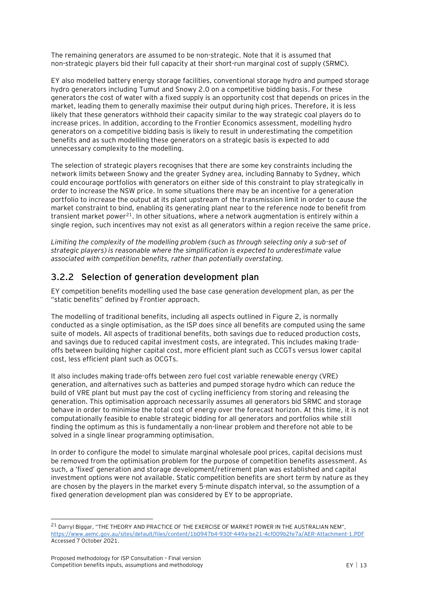The remaining generators are assumed to be non-strategic. Note that it is assumed that non-strategic players bid their full capacity at their short-run marginal cost of supply (SRMC).

EY also modelled battery energy storage facilities, conventional storage hydro and pumped storage hydro generators including Tumut and Snowy 2.0 on a competitive bidding basis. For these generators the cost of water with a fixed supply is an opportunity cost that depends on prices in the market, leading them to generally maximise their output during high prices. Therefore, it is less likely that these generators withhold their capacity similar to the way strategic coal players do to increase prices. In addition, according to the Frontier Economics assessment, modelling hydro generators on a competitive bidding basis is likely to result in underestimating the competition benefits and as such modelling these generators on a strategic basis is expected to add unnecessary complexity to the modelling.

The selection of strategic players recognises that there are some key constraints including the network limits between Snowy and the greater Sydney area, including Bannaby to Sydney, which could encourage portfolios with generators on either side of this constraint to play strategically in order to increase the NSW price. In some situations there may be an incentive for a generation portfolio to increase the output at its plant upstream of the transmission limit in order to cause the market constraint to bind, enabling its generating plant near to the reference node to benefit from transient market power<sup>21</sup>. In other situations, where a network augmentation is entirely within a single region, such incentives may not exist as all generators within a region receive the same price.

*Limiting the complexity of the modelling problem (such as through selecting only a sub-set of strategic players) is reasonable where the simplification is expected to underestimate value associated with competition benefits, rather than potentially overstating.*

#### **3.2.2 Selection of generation development plan**

EY competition benefits modelling used the base case generation development plan, as per the "static benefits" defined by Frontier approach.

The modelling of traditional benefits, including all aspects outlined in [Figure 2,](#page-6-0) is normally conducted as a single optimisation, as the ISP does since all benefits are computed using the same suite of models. All aspects of traditional benefits, both savings due to reduced production costs, and savings due to reduced capital investment costs, are integrated. This includes making tradeoffs between building higher capital cost, more efficient plant such as CCGTs versus lower capital cost, less efficient plant such as OCGTs.

It also includes making trade-offs between zero fuel cost variable renewable energy (VRE) generation, and alternatives such as batteries and pumped storage hydro which can reduce the build of VRE plant but must pay the cost of cycling inefficiency from storing and releasing the generation. This optimisation approach necessarily assumes all generators bid SRMC and storage behave in order to minimise the total cost of energy over the forecast horizon. At this time, it is not computationally feasible to enable strategic bidding for all generators and portfolios while still finding the optimum as this is fundamentally a non-linear problem and therefore not able to be solved in a single linear programming optimisation.

In order to configure the model to simulate marginal wholesale pool prices, capital decisions must be removed from the optimisation problem for the purpose of competition benefits assessment. As such, a 'fixed' generation and storage development/retirement plan was established and capital investment options were not available. Static competition benefits are short term by nature as they are chosen by the players in the market every 5-minute dispatch interval, so the assumption of a fixed generation development plan was considered by EY to be appropriate.

<sup>&</sup>lt;sup>21</sup> Darryl Biggar, "THE THEORY AND PRACTICE OF THE EXERCISE OF MARKET POWER IN THE AUSTRALIAN NEM", <https://www.aemc.gov.au/sites/default/files/content/1b0947b4-930f-449a-be21-4cf009b2fe7a/AER-Attachment-1.PDF> Accessed 7 October 2021.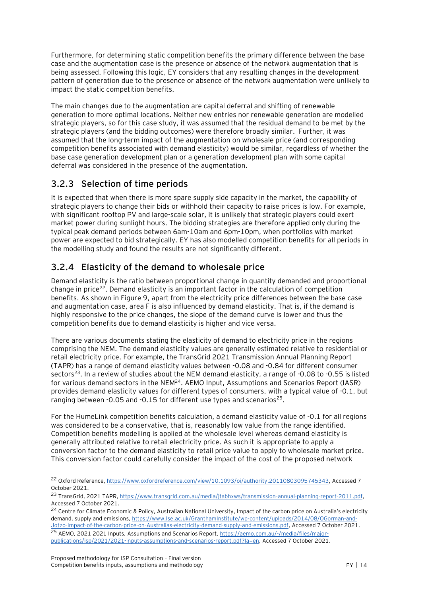Furthermore, for determining static competition benefits the primary difference between the base case and the augmentation case is the presence or absence of the network augmentation that is being assessed. Following this logic, EY considers that any resulting changes in the development pattern of generation due to the presence or absence of the network augmentation were unlikely to impact the static competition benefits.

The main changes due to the augmentation are capital deferral and shifting of renewable generation to more optimal locations. Neither new entries nor renewable generation are modelled strategic players, so for this case study, it was assumed that the residual demand to be met by the strategic players (and the bidding outcomes) were therefore broadly similar. Further, it was assumed that the long-term impact of the augmentation on wholesale price (and corresponding competition benefits associated with demand elasticity) would be similar, regardless of whether the base case generation development plan or a generation development plan with some capital deferral was considered in the presence of the augmentation.

## **3.2.3 Selection of time periods**

It is expected that when there is more spare supply side capacity in the market, the capability of strategic players to change their bids or withhold their capacity to raise prices is low. For example, with significant rooftop PV and large-scale solar, it is unlikely that strategic players could exert market power during sunlight hours. The bidding strategies are therefore applied only during the typical peak demand periods between 6am-10am and 6pm-10pm, when portfolios with market power are expected to bid strategically. EY has also modelled competition benefits for all periods in the modelling study and found the results are not significantly different.

#### **3.2.4 Elasticity of the demand to wholesale price**

Demand elasticity is the ratio between proportional change in quantity demanded and proportional change in price<sup>22</sup>. Demand elasticity is an important factor in the calculation of competition benefits. As shown i[n Figure 9,](#page-19-0) apart from the electricity price differences between the base case and augmentation case, area F is also influenced by demand elasticity. That is, if the demand is highly responsive to the price changes, the slope of the demand curve is lower and thus the competition benefits due to demand elasticity is higher and vice versa.

There are various documents stating the elasticity of demand to electricity price in the regions comprising the NEM. The demand elasticity values are generally estimated relative to residential or retail electricity price. For example, the TransGrid 2021 Transmission Annual Planning Report (TAPR) has a range of demand elasticity values between -0.08 and -0.84 for different consumer sectors<sup>23</sup>. In a review of studies about the NEM demand elasticity, a range of -0.08 to -0.55 is listed for various demand sectors in the NEM<sup>24</sup>. AEMO Input, Assumptions and Scenarios Report (IASR) provides demand elasticity values for different types of consumers, with a typical value of -0.1, but ranging between -0.05 and -0.15 for different use types and scenarios<sup>25</sup>.

For the HumeLink competition benefits calculation, a demand elasticity value of -0.1 for all regions was considered to be a conservative, that is, reasonably low value from the range identified. Competition benefits modelling is applied at the wholesale level whereas demand elasticity is generally attributed relative to retail electricity price. As such it is appropriate to apply a conversion factor to the demand elasticity to retail price value to apply to wholesale market price. This conversion factor could carefully consider the impact of the cost of the proposed network

<sup>22</sup> Oxford Reference[, https://www.oxfordreference.com/view/10.1093/oi/authority.20110803095745343,](https://www.oxfordreference.com/view/10.1093/oi/authority.20110803095745343) Accessed 7 October 2021.

<sup>23</sup> TransGrid, 2021 TAPR[, https://www.transgrid.com.au/media/jtabhxws/transmission-annual-planning-report-2011.pdf,](https://www.transgrid.com.au/media/jtabhxws/transmission-annual-planning-report-2011.pdf) Accessed 7 October 2021.

<sup>&</sup>lt;sup>24</sup> Centre for Climate Economic & Policy, Australian National University, Impact of the carbon price on Australia's electricity demand, supply and emissions[, https://www.lse.ac.uk/GranthamInstitute/wp-content/uploads/2014/08/OGorman-and-](https://www.lse.ac.uk/GranthamInstitute/wp-content/uploads/2014/08/OGorman-and-Jotzo-Impact-of-the-carbon-price-on-Australias-electricity-demand-supply-and-emissions.pdf)[Jotzo-Impact-of-the-carbon-price-on-Australias-electricity-demand-supply-and-emissions.pdf,](https://www.lse.ac.uk/GranthamInstitute/wp-content/uploads/2014/08/OGorman-and-Jotzo-Impact-of-the-carbon-price-on-Australias-electricity-demand-supply-and-emissions.pdf) Accessed 7 October 2021.

<sup>&</sup>lt;sup>25</sup> AEMO, 2021 2021 Inputs, Assumptions and Scenarios Report[, https://aemo.com.au/-/media/files/major](https://aemo.com.au/-/media/files/major-publications/isp/2021/2021-inputs-assumptions-and-scenarios-report.pdf?la=en)[publications/isp/2021/2021-inputs-assumptions-and-scenarios-report.pdf?la=en,](https://aemo.com.au/-/media/files/major-publications/isp/2021/2021-inputs-assumptions-and-scenarios-report.pdf?la=en) Accessed 7 October 2021.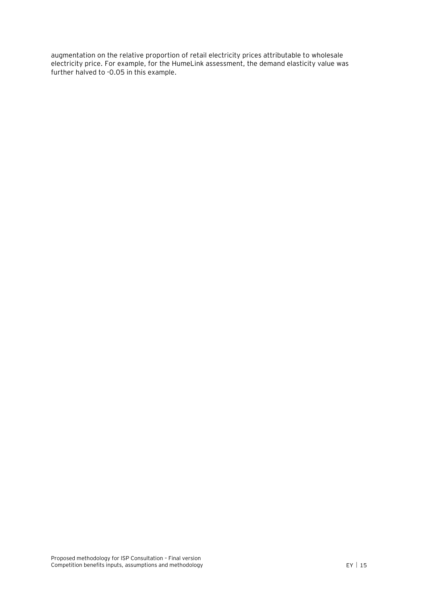augmentation on the relative proportion of retail electricity prices attributable to wholesale electricity price. For example, for the HumeLink assessment, the demand elasticity value was further halved to -0.05 in this example.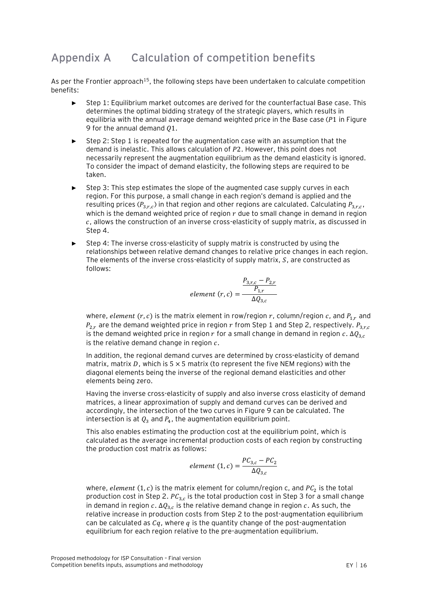# <span id="page-18-0"></span>**Appendix A Calculation of competition benefits**

As per the Frontier approach<sup>[15](#page-7-1)</sup>, the following steps have been undertaken to calculate competition benefits:

- Step 1: Equilibrium market outcomes are derived for the counterfactual Base case. This determines the optimal bidding strategy of the strategic players, which results in equilibria with the annual average demand weighted price in the Base case ( $P1$  in Figure [9](#page-19-0) for the annual demand  $Q1$ .
- Step 2: Step 1 is repeated for the augmentation case with an assumption that the demand is inelastic. This allows calculation of P2. However, this point does not necessarily represent the augmentation equilibrium as the demand elasticity is ignored. To consider the impact of demand elasticity, the following steps are required to be taken.
- Step 3: This step estimates the slope of the augmented case supply curves in each region. For this purpose, a small change in each region's demand is applied and the resulting prices ( $P_{3,r,c}$ ) in that region and other regions are calculated. Calculating  $P_{3,r,c}$ , which is the demand weighted price of region  $r$  due to small change in demand in region , allows the construction of an inverse cross-elasticity of supply matrix, as discussed in Step 4.
- Step 4: The inverse cross-elasticity of supply matrix is constructed by using the relationships between relative demand changes to relative price changes in each region. The elements of the inverse cross-elasticity of supply matrix,  $S$ , are constructed as follows:

$$
element (r, c) = \frac{\frac{P_{3,r,c} - P_{2,r}}{P_{1,r}}}{\Delta Q_{3,c}}
$$

where, element  $(r, c)$  is the matrix element in row/region r, column/region c, and  $P_{1,r}$  and  $P_{2r}$  are the demand weighted price in region r from Step 1 and Step 2, respectively.  $P_{3r,c}$ is the demand weighted price in region r for a small change in demand in region  $c. \Delta Q_{3,c}$ is the relative demand change in region  $c$ .

In addition, the regional demand curves are determined by cross-elasticity of demand matrix, matrix D, which is  $5 \times 5$  matrix (to represent the five NEM regions) with the diagonal elements being the inverse of the regional demand elasticities and other elements being zero.

Having the inverse cross-elasticity of supply and also inverse cross elasticity of demand matrices, a linear approximation of supply and demand curves can be derived and accordingly, the intersection of the two curves in [Figure 9](#page-19-0) can be calculated. The intersection is at  $Q_3$  and  $P_4$ , the augmentation equilibrium point.

This also enables estimating the production cost at the equilibrium point, which is calculated as the average incremental production costs of each region by constructing the production cost matrix as follows:

element 
$$
(1, c) = \frac{PC_{3,c} - PC_2}{\Delta Q_{3,c}}
$$

where,  $element \ (1, c)$  is the matrix element for column/region c, and  $PC_{2}$  is the total production cost in Step 2.  $PC_{3,c}$  is the total production cost in Step 3 for a small change in demand in region  $c.$  ∆ $Q_{3,c}$  is the relative demand change in region  $c.$  As such, the relative increase in production costs from Step 2 to the post-augmentation equilibrium can be calculated as  $C_q$ , where  $q$  is the quantity change of the post-augmentation equilibrium for each region relative to the pre-augmentation equilibrium.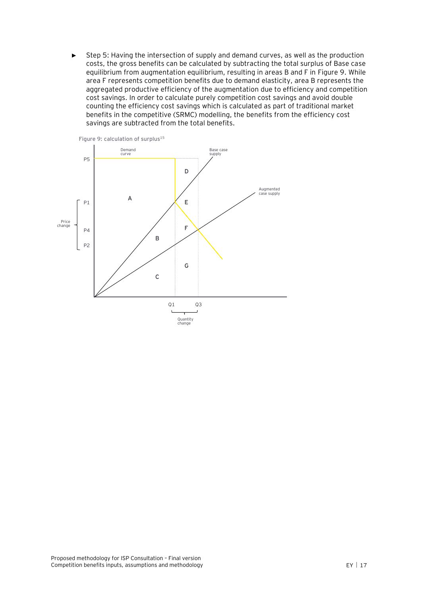Step 5: Having the intersection of supply and demand curves, as well as the production costs, the gross benefits can be calculated by subtracting the total surplus of Base case equilibrium from augmentation equilibrium, resulting in areas B and F in [Figure 9.](#page-19-0) While area F represents competition benefits due to demand elasticity, area B represents the aggregated productive efficiency of the augmentation due to efficiency and competition cost savings. In order to calculate purely competition cost savings and avoid double counting the efficiency cost savings which is calculated as part of traditional market benefits in the competitive (SRMC) modelling, the benefits from the efficiency cost savings are subtracted from the total benefits.

<span id="page-19-0"></span>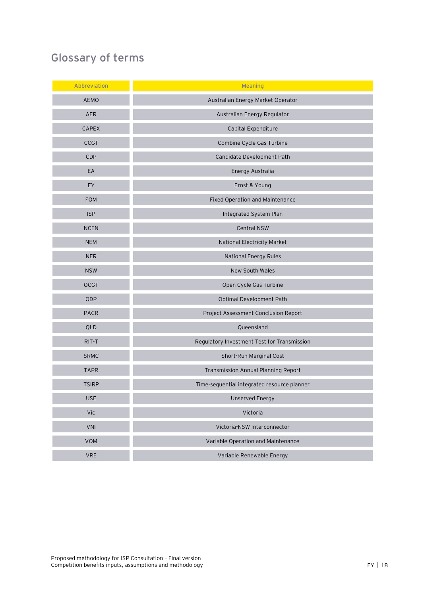# <span id="page-20-0"></span>**Glossary of terms**

| Abbreviation | <b>Meaning</b>                              |
|--------------|---------------------------------------------|
| <b>AEMO</b>  | Australian Energy Market Operator           |
| AER          | Australian Energy Regulator                 |
| <b>CAPEX</b> | Capital Expenditure                         |
| <b>CCGT</b>  | Combine Cycle Gas Turbine                   |
| <b>CDP</b>   | Candidate Development Path                  |
| EA           | Energy Australia                            |
| EY           | Ernst & Young                               |
| <b>FOM</b>   | Fixed Operation and Maintenance             |
| <b>ISP</b>   | Integrated System Plan                      |
| <b>NCEN</b>  | <b>Central NSW</b>                          |
| <b>NEM</b>   | National Electricity Market                 |
| <b>NER</b>   | <b>National Energy Rules</b>                |
| <b>NSW</b>   | New South Wales                             |
| <b>OCGT</b>  | Open Cycle Gas Turbine                      |
| ODP          | Optimal Development Path                    |
| PACR         | Project Assessment Conclusion Report        |
| QLD          | Queensland                                  |
| RIT-T        | Regulatory Investment Test for Transmission |
| SRMC         | Short-Run Marginal Cost                     |
| <b>TAPR</b>  | Transmission Annual Planning Report         |
| <b>TSIRP</b> | Time-sequential integrated resource planner |
| <b>USE</b>   | <b>Unserved Energy</b>                      |
| Vic          | Victoria                                    |
| VNI          | Victoria-NSW Interconnector                 |
| VOM          | Variable Operation and Maintenance          |
| <b>VRE</b>   | Variable Renewable Energy                   |